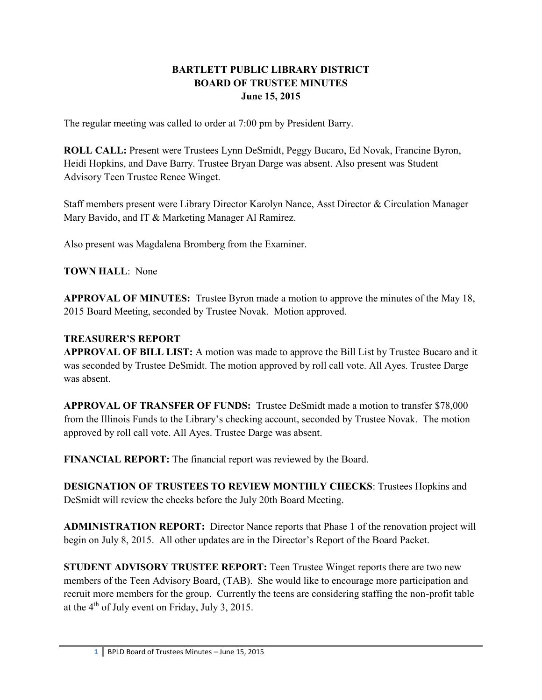## **BARTLETT PUBLIC LIBRARY DISTRICT BOARD OF TRUSTEE MINUTES June 15, 2015**

The regular meeting was called to order at 7:00 pm by President Barry.

**ROLL CALL:** Present were Trustees Lynn DeSmidt, Peggy Bucaro, Ed Novak, Francine Byron, Heidi Hopkins, and Dave Barry. Trustee Bryan Darge was absent. Also present was Student Advisory Teen Trustee Renee Winget.

Staff members present were Library Director Karolyn Nance, Asst Director & Circulation Manager Mary Bavido, and IT & Marketing Manager Al Ramirez.

Also present was Magdalena Bromberg from the Examiner.

**TOWN HALL**: None

**APPROVAL OF MINUTES:** Trustee Byron made a motion to approve the minutes of the May 18, 2015 Board Meeting, seconded by Trustee Novak. Motion approved.

## **TREASURER'S REPORT**

**APPROVAL OF BILL LIST:** A motion was made to approve the Bill List by Trustee Bucaro and it was seconded by Trustee DeSmidt. The motion approved by roll call vote. All Ayes. Trustee Darge was absent.

**APPROVAL OF TRANSFER OF FUNDS:** Trustee DeSmidt made a motion to transfer \$78,000 from the Illinois Funds to the Library's checking account, seconded by Trustee Novak. The motion approved by roll call vote. All Ayes. Trustee Darge was absent.

**FINANCIAL REPORT:** The financial report was reviewed by the Board.

**DESIGNATION OF TRUSTEES TO REVIEW MONTHLY CHECKS**: Trustees Hopkins and DeSmidt will review the checks before the July 20th Board Meeting.

**ADMINISTRATION REPORT:** Director Nance reports that Phase 1 of the renovation project will begin on July 8, 2015. All other updates are in the Director's Report of the Board Packet.

**STUDENT ADVISORY TRUSTEE REPORT:** Teen Trustee Winget reports there are two new members of the Teen Advisory Board, (TAB). She would like to encourage more participation and recruit more members for the group. Currently the teens are considering staffing the non-profit table at the  $4<sup>th</sup>$  of July event on Friday, July 3, 2015.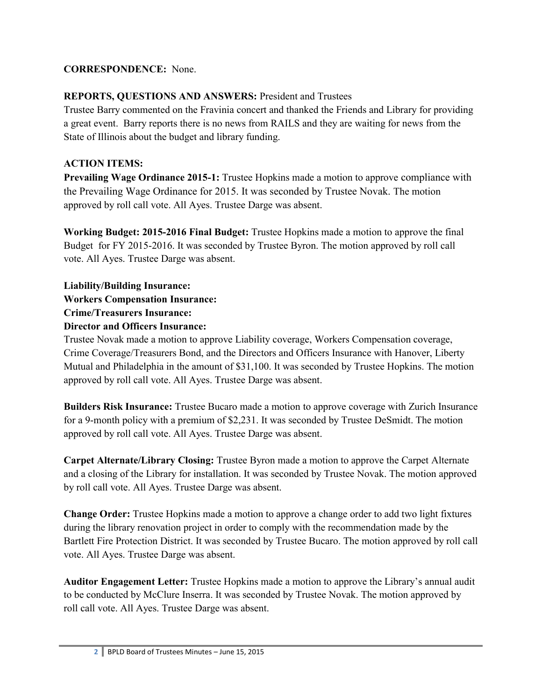#### **CORRESPONDENCE:** None.

# **REPORTS, QUESTIONS AND ANSWERS:** President and Trustees

Trustee Barry commented on the Fravinia concert and thanked the Friends and Library for providing a great event. Barry reports there is no news from RAILS and they are waiting for news from the State of Illinois about the budget and library funding.

## **ACTION ITEMS:**

**Prevailing Wage Ordinance 2015-1:** Trustee Hopkins made a motion to approve compliance with the Prevailing Wage Ordinance for 2015. It was seconded by Trustee Novak. The motion approved by roll call vote. All Ayes. Trustee Darge was absent.

**Working Budget: 2015-2016 Final Budget:** Trustee Hopkins made a motion to approve the final Budget for FY 2015-2016. It was seconded by Trustee Byron. The motion approved by roll call vote. All Ayes. Trustee Darge was absent.

**Liability/Building Insurance: Workers Compensation Insurance: Crime/Treasurers Insurance: Director and Officers Insurance:** 

Trustee Novak made a motion to approve Liability coverage, Workers Compensation coverage, Crime Coverage/Treasurers Bond, and the Directors and Officers Insurance with Hanover, Liberty Mutual and Philadelphia in the amount of \$31,100. It was seconded by Trustee Hopkins. The motion approved by roll call vote. All Ayes. Trustee Darge was absent.

**Builders Risk Insurance:** Trustee Bucaro made a motion to approve coverage with Zurich Insurance for a 9-month policy with a premium of \$2,231. It was seconded by Trustee DeSmidt. The motion approved by roll call vote. All Ayes. Trustee Darge was absent.

**Carpet Alternate/Library Closing:** Trustee Byron made a motion to approve the Carpet Alternate and a closing of the Library for installation. It was seconded by Trustee Novak. The motion approved by roll call vote. All Ayes. Trustee Darge was absent.

**Change Order:** Trustee Hopkins made a motion to approve a change order to add two light fixtures during the library renovation project in order to comply with the recommendation made by the Bartlett Fire Protection District. It was seconded by Trustee Bucaro. The motion approved by roll call vote. All Ayes. Trustee Darge was absent.

**Auditor Engagement Letter:** Trustee Hopkins made a motion to approve the Library's annual audit to be conducted by McClure Inserra. It was seconded by Trustee Novak. The motion approved by roll call vote. All Ayes. Trustee Darge was absent.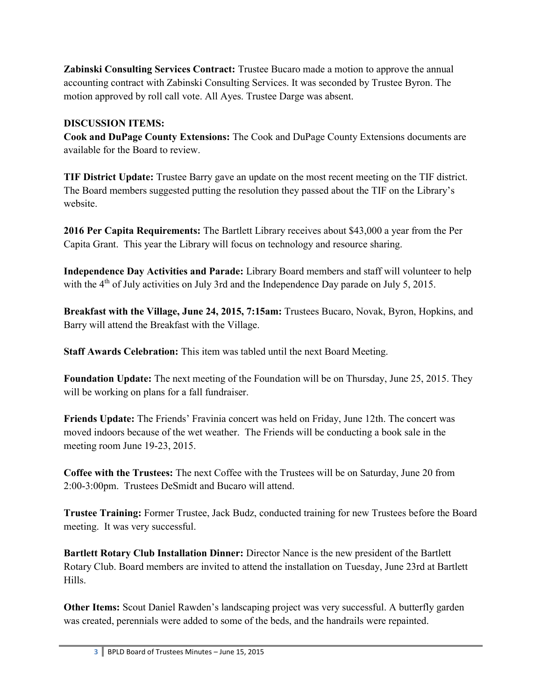**Zabinski Consulting Services Contract:** Trustee Bucaro made a motion to approve the annual accounting contract with Zabinski Consulting Services. It was seconded by Trustee Byron. The motion approved by roll call vote. All Ayes. Trustee Darge was absent.

## **DISCUSSION ITEMS:**

**Cook and DuPage County Extensions:** The Cook and DuPage County Extensions documents are available for the Board to review.

**TIF District Update:** Trustee Barry gave an update on the most recent meeting on the TIF district. The Board members suggested putting the resolution they passed about the TIF on the Library's website.

**2016 Per Capita Requirements:** The Bartlett Library receives about \$43,000 a year from the Per Capita Grant. This year the Library will focus on technology and resource sharing.

**Independence Day Activities and Parade:** Library Board members and staff will volunteer to help with the  $4<sup>th</sup>$  of July activities on July 3rd and the Independence Day parade on July 5, 2015.

**Breakfast with the Village, June 24, 2015, 7:15am:** Trustees Bucaro, Novak, Byron, Hopkins, and Barry will attend the Breakfast with the Village.

**Staff Awards Celebration:** This item was tabled until the next Board Meeting.

**Foundation Update:** The next meeting of the Foundation will be on Thursday, June 25, 2015. They will be working on plans for a fall fundraiser.

**Friends Update:** The Friends' Fravinia concert was held on Friday, June 12th. The concert was moved indoors because of the wet weather. The Friends will be conducting a book sale in the meeting room June 19-23, 2015.

**Coffee with the Trustees:** The next Coffee with the Trustees will be on Saturday, June 20 from 2:00-3:00pm. Trustees DeSmidt and Bucaro will attend.

**Trustee Training:** Former Trustee, Jack Budz, conducted training for new Trustees before the Board meeting. It was very successful.

**Bartlett Rotary Club Installation Dinner:** Director Nance is the new president of the Bartlett Rotary Club. Board members are invited to attend the installation on Tuesday, June 23rd at Bartlett Hills.

**Other Items:** Scout Daniel Rawden's landscaping project was very successful. A butterfly garden was created, perennials were added to some of the beds, and the handrails were repainted.